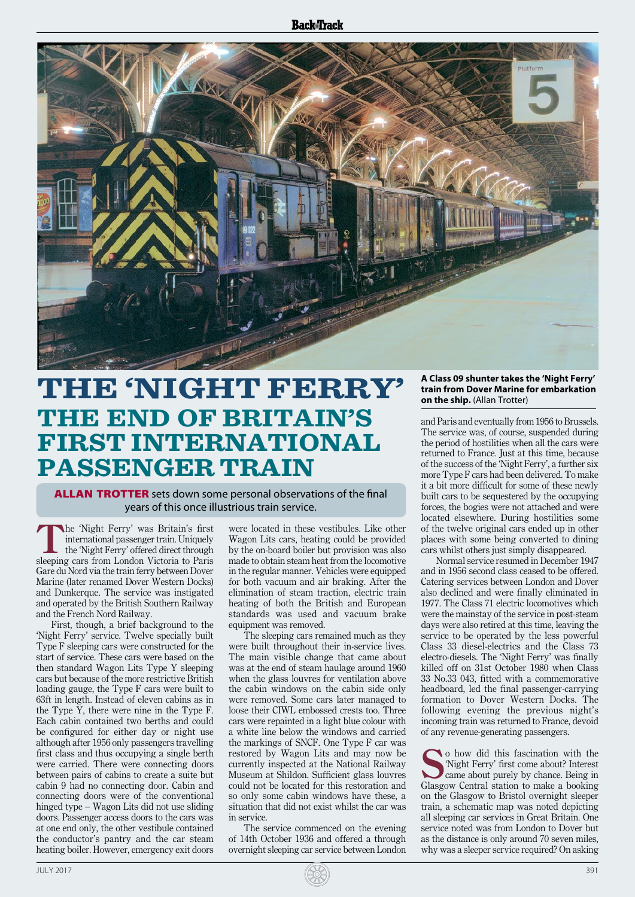## **Back**Track



## **THE 'NIGHT FERRY' THE END OF BRITAIN'S FIRST INTERNATIONAL PASSENGER TRAIN**

**ALLAN TROTTER** sets down some personal observations of the final years of this once illustrious train service.

**T**he 'Night Ferry' was Britain's first international passenger train. Uniquely the 'Night Ferry' offered direct through sleeping cars from London Victoria to Paris Gare du Nord via the train ferry between Dover Marine (later renamed Dover Western Docks) and Dunkerque. The service was instigated and operated by the British Southern Railway and the French Nord Railway.

First, though, a brief background to the 'Night Ferry' service. Twelve specially built Type F sleeping cars were constructed for the start of service. These cars were based on the then standard Wagon Lits Type Y sleeping cars but because of the more restrictive British loading gauge, the Type F cars were built to 63ft in length. Instead of eleven cabins as in the Type Y, there were nine in the Type F. Each cabin contained two berths and could be configured for either day or night use although after 1956 only passengers travelling first class and thus occupying a single berth were carried. There were connecting doors between pairs of cabins to create a suite but cabin 9 had no connecting door. Cabin and connecting doors were of the conventional hinged type – Wagon Lits did not use sliding doors. Passenger access doors to the cars was at one end only, the other vestibule contained the conductor's pantry and the car steam heating boiler. However, emergency exit doors were located in these vestibules. Like other Wagon Lits cars, heating could be provided by the on-board boiler but provision was also made to obtain steam heat from the locomotive in the regular manner. Vehicles were equipped for both vacuum and air braking. After the elimination of steam traction, electric train heating of both the British and European standards was used and vacuum brake equipment was removed.

The sleeping cars remained much as they were built throughout their in-service lives. The main visible change that came about was at the end of steam haulage around 1960 when the glass louvres for ventilation above the cabin windows on the cabin side only were removed. Some cars later managed to loose their CIWL embossed crests too. Three cars were repainted in a light blue colour with a white line below the windows and carried the markings of SNCF. One Type F car was restored by Wagon Lits and may now be currently inspected at the National Railway Museum at Shildon. Sufficient glass louvres could not be located for this restoration and so only some cabin windows have these, a situation that did not exist whilst the car was in service.

The service commenced on the evening of 14th October 1936 and offered a through overnight sleeping car service between London

## **A Class 09 shunter takes the 'Night Ferry' train from Dover Marine for embarkation on the ship.** (Allan Trotter)

and Paris and eventually from 1956 to Brussels. The service was, of course, suspended during the period of hostilities when all the cars were returned to France. Just at this time, because of the success of the 'Night Ferry', a further six more Type F cars had been delivered. To make it a bit more difficult for some of these newly built cars to be sequestered by the occupying forces, the bogies were not attached and were located elsewhere. During hostilities some of the twelve original cars ended up in other places with some being converted to dining cars whilst others just simply disappeared.

Normal service resumed in December 1947 and in 1956 second class ceased to be offered. Catering services between London and Dover also declined and were finally eliminated in 1977. The Class 71 electric locomotives which were the mainstay of the service in post-steam days were also retired at this time, leaving the service to be operated by the less powerful Class 33 diesel-electrics and the Class 73 electro-diesels. The 'Night Ferry' was finally killed off on 31st October 1980 when Class 33 No.33 043, fitted with a commemorative headboard, led the final passenger-carrying formation to Dover Western Docks. The following evening the previous night's incoming train was returned to France, devoid of any revenue-generating passengers.

**S**o how did this fascination with the 'Night Ferry' first come about? Interest came about purely by chance. Being in Glasgow Central station to make a booking on the Glasgow to Bristol overnight sleeper train, a schematic map was noted depicting all sleeping car services in Great Britain. One service noted was from London to Dover but as the distance is only around 70 seven miles, why was a sleeper service required? On asking